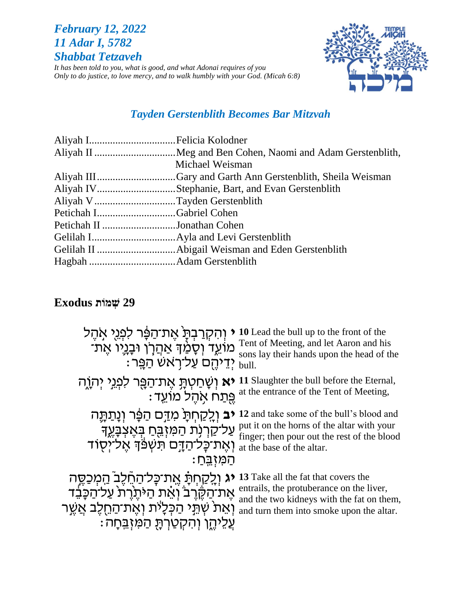# *February 12, 2022 11 Adar I, 5782 Shabbat Tetzaveh*

*It has been told to you, what is good, and what Adonai requires of you Only to do justice, to love mercy, and to walk humbly with your God. (Micah 6:8)*



## *Tayden Gerstenblith Becomes Bar Mitzvah*

|                              | Michael Weisman |
|------------------------------|-----------------|
|                              |                 |
|                              |                 |
| Aliyah V Tayden Gerstenblith |                 |
| Petichah IGabriel Cohen      |                 |
| Petichah II Jonathan Cohen   |                 |
|                              |                 |
|                              |                 |
|                              |                 |

# **29 שְׁ מֹות Exodus**

| הקרבת אֶת־הַפָּר לִפְגֵי אֲהֶל                    | 10 Lead the bull up to the front of the     |
|---------------------------------------------------|---------------------------------------------|
| ֹמוֹעֵד וְסָמַ֫דְּ אַהֲרָן וּבָנְיִו אֶת־         | Tent of Meeting, and let Aaron and his      |
| : יִדֵיהֵם עַל־רְאשׁ הַפֵּר"                      | sons lay their hands upon the head of the   |
| <b>יא</b> וְשָׁחַטְתָּ אֶת־הַפֵּר לִפְגֵי יִהְוֵה | 11 Slaughter the bull before the Eternal,   |
| פֵתַח אִהֵל מוֹעֵד:                               | at the entrance of the Tent of Meeting,     |
| <b>יב</b> וְלֵקַחְתָּ מִדַּם הַפְּר וְנָתַתֶּה    | 12 and take some of the bull's blood and    |
| עַל־קַרְנְת הַמִּזְבֵּחַ בְּאֶצְבָּעֶךָ           | put it on the horns of the altar with your  |
| ואת כלהדם תשפד אליסוד                             | finger; then pour out the rest of the blood |
| <u>המזִבֵּחַ</u>                                  | at the base of the altar.                   |
| יג וְלִקַחְתָּ אֶת־כָּל־הַחֵ֫לֶב ֿהַמְכַסֵּה      | 13 Take all the fat that covers the         |
| אֶת־הַקֶּרֶבֹּ וְאֵת הַיּתֶרֶת עַל־הַכָּבִד       | entrails, the protuberance on the liver,    |
| וְאֵתֹ שְׁתֵּֽי הַכְּלָיֹת וְאֶת־הַחֻלֶּב אֲשֱר   | and the two kidneys with the fat on them,   |
| ֹ וִהִקְטַרְתָּ הַמִּזְבֵּחָה :                   | and turn them into smoke upon the altar.    |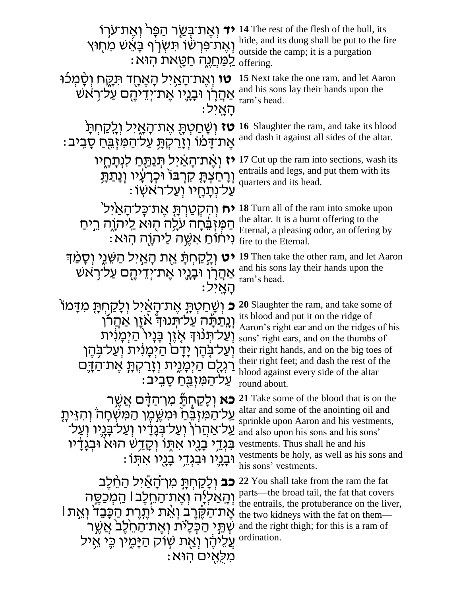**יד** וְאֶת־בְּשֵׂר הַפָּר וְאֶת־עֹרָוֹ 14 The rest of the flesh of the bull, its וְ אֶ ת־פִ רְ ׁשָּ֔ ֹו תִ שְ ר ֹ֣ ף ב א ָּ֔ ׁש מִ חֵ֖ ּוץ hide, and its dung shall be put to the fire : לַמַּחֲנֶה חַטָּאת הִוּא outside the camp; it is a purgation יִל הָאֶחָד תִּקֶח וְסָ*ׂמְכֹוּ* i5 Next take the one ram, and let Aaron אַהֲלָךְ וּבְגְיוֹ אֶת־יְדֵיהֶם עַל־רָאֹשׁ and his sons lay their hands upon the : הַאַיל ram's head. **ֿטז** וְשָׁחַטְתָּ אֶת־הָאֱיל וְלֵקַחְתָּ its blood : אֶת־דָּמוֹ וְזָרַקְתָּ עַל־הַמִּזְבֻּחַ סָבִיבּ and dash it against all sides of the altar. יָאָת־הָאֲיל תְּנַתֵּחַ לִנְתָחָיו 17 Cut up the ram into sections, wash its וְרָחַצְרָקָ קִרְבּוֹ וּכְרָעָיו וְנָתַרְתָ<br>וְרָחַצְרָקָ קִרְבּוֹ וֹכְרָעָיו וְנָתַרְתָ . עַל־נְתַחְיו וְעַל־רֹאשִׁו quarters and its head. **יח וְהִקְטַרְהָּ אֶת־כְּל־הָאַיִּל** $\blacksquare$  all of the ram into smoke upon הַמְזְבָּחָה עֲלָה הָוֹא לַיהוֹה בְיחַ the altar. It is a burnt offering to the<br>Fternal a pleasing odor, an offering  $\vdots$ נִיחוֹם אַשֶּׁה לַיהוָה הִוּא $\vdots$  fire to the Eternal. Eternal, a pleasing odor, an offering by י**ט וְ**לֵקַחְתָּ אֶת הָאַיל הַשֵּׁגֵי וְסָמַ<sup>ּ</sup> וְדָּם 19 Then take the other ram, and let Aaron אַהַרְן וּבָגְיו אֶת־יְדֵיהֶם עַל־רָאש ּהָאֲיל and his sons lay their hands upon the ram's head. **וֹ 20** Slaughter the ram, and take some of פּ וְשֶׁחַטְתָּ אֶת־הָאַ֫יל וְלָקַחְתָּ מִדָּמוֹ its blood and put it on the ridge of<br>Aaron's right ear and on the ridges (יְנְתַרְּתָּה עֲלֹ־רְיְנוּ הְ אֹיֶן אַהֲרֹן עֲל־תְּנוּךְ אָזֶן בְּנָיוֹ הַיְמְנִית sons' right ears, and on the thumbs of וְעַל־בָּהֶן יָדָם הַיְמָנִית וְעַל־בָּהֶן their right hands, and on the big toes of ַרַגְלֻם הַיְּמָגֶית וְזָרַקְתָּ אֶת־הַדֶּם : על־המּזִבּח סביב Aaron's right ear and on the ridges of his their right feet; and dash the rest of the blood against every side of the altar round about. **כא** וְלָקַחְתָּׂ מִן־הַדָּם אֲשֶר 21 Take some of the blood that is on the ַעֲל־הַמִּזְבֶּ֫הַ וּמִשֵׁמֵן הַמִּשְׁחָה וִהִזֵּיתָ ַעֲל־אַהֲרןָ וְעַל־בְּנֶדָיו וְעַל־בָּנֵיו וְעַל־ בִגְדֵי בָנָיו אִתָּוֹ וְקָדַשׁ הוּא<sup>ָ</sup> וּבְגַדַיו וּבַנֵיו וּבִגְדֵי בָנֻיו אִתְּוֹ: altar and some of the anointing oil and sprinkle upon Aaron and his vestments, and also upon his sons and his sons' vestments. Thus shall he and his vestments be holy, as well as his sons and his sons' vestments. **כב** וְלַקַחְתָּ מְוְ־הָאֲיִל הַחֱלֶב וְהָאַלְיָה וְאֶת־הַחֵלֶב| הַמְכַסֶּה he two kidneys with the fat on them— אֶת־הַקֶּ֫רֶב וְאֶת יֹתֶנֶרת הַכָּבֵד וְאֵת l ْשְׁרֵי הַכְּלָיֹת וְאֶת־הַחֵלֶּב אֲשֶר and the right thigh; for this is a ram of ְעֲלֵיהֶׁן וְאֶת שְׁוֹק הַיָּמֶין כֵּי אֱיל **22** You shall take from the ram the fat parts—the broad tail, the fat that covers the entrails, the protuberance on the liver, ordination.

: מלאים הוּא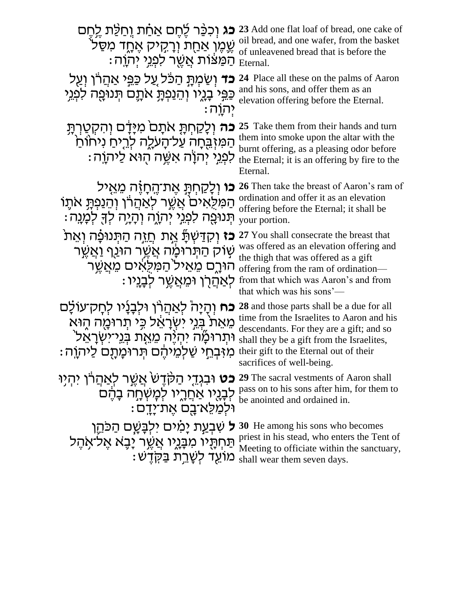| <b>כג</b> וְכִכֵּר לֶחֶם אַחַת וְחַלֵּת לֵחֶם<br>שֶׁמֶּן אַחֻת וְרָקִיק אֶחֱד מִסַּלֹ<br>ּהַמַּצֹּוֹת אֲשֶׁר לְפְגֵי יִהְוֶה:                                                                        | 23 Add one flat loaf of bread, one cake of<br>oil bread, and one wafer, from the basket<br>of unleavened bread that is before the<br>Eternal.                                                                                                          |
|------------------------------------------------------------------------------------------------------------------------------------------------------------------------------------------------------|--------------------------------------------------------------------------------------------------------------------------------------------------------------------------------------------------------------------------------------------------------|
| <b>כד</b> וְשַׂמְתָּ הַכֹּל עֲל כַּפֵּי אַהֲרֹן וְעַל<br>כַּפֵּי בָגֶיו וְהֵנַפְתָּ אֹתֶם תִּנוּמָה לִמְגֵי<br>יִהְוַה:                                                                              | 24 Place all these on the palms of Aaron<br>and his sons, and offer them as an<br>elevation offering before the Eternal.                                                                                                                               |
| <b>כה</b> וִלָקַחִתָּ אתָם מִיָּדָם וִהִקְטַרְתָּ<br>הַמִּזְבֻּחָה עַל־הָעָלֶה לְרֵיחַ ניחוֹחַ<br>ַלְפְגֵי יִהְוָה אָשֶׁה הְוּא לַיהוָה                                                              | 25 Take them from their hands and turn<br>them into smoke upon the altar with the<br>burnt offering, as a pleasing odor before<br>the Eternal; it is an offering by fire to the<br>Eternal.                                                            |
| <b>כו</b> וְלָקַחִתָּ אֵת־הֵחָזָה מֵאֵיל<br>המִלָּאים אֲשֶׁר לְאַהֲרֹן וְהֵנַפְתָּ אתֶוֹ<br>ּתְּנוּפֵה לִפְגֵי יִהְוֶה וְהָיָה לְךָּ לְמָנֶה :                                                       | 26 Then take the breast of Aaron's ram of<br>ordination and offer it as an elevation<br>offering before the Eternal; it shall be<br>your portion.                                                                                                      |
| <b>ֹכֹז</b> וְקִדַּשְׁתַּٗ אֱת חֲזֶה הַתְּנוּבָּ֫ה וְאֵת<br>ֹשָׁוֹק הַתְּרוּכֶ <i>וֹה אֲשֶׁר הוּנַף וַאֲשֶׁר</i><br>הורם מאיל המלאים מאשר<br>ּלְאַהַרְן וּמֵאֲשֱר לְבָנֵיו                           | 27 You shall consecrate the breast that<br>was offered as an elevation offering and<br>the thigh that was offered as a gift<br>offering from the ram of ordination—<br>from that which was Aaron's and from<br>that which was his sons'—               |
| <b>כח</b> וְהָיָה לְאַהֲרו וּלִבְנָיו לִחָק־עוֹלָם<br>מֵאֵת בִּגֵי יִשְׂרָאֵל כִּי תְרוּמֶה הֶוּא<br>וּתִרוּמָۢה יִהְיָּה מֶאֱת בְּנֵי־יִשְׂרָאֵל ׁ<br>מִזִּבְחֵי שַׁלְמֵיהֶם תְּרוּמָתָם לַיּהוָה : | 28 and those parts shall be a due for all<br>time from the Israelites to Aaron and his<br>descendants. For they are a gift; and so<br>shall they be a gift from the Israelites,<br>their gift to the Eternal out of their<br>sacrifices of well-being. |
| <b>כט</b> וּבגְדֵי הַקָּדֶשׂ אֲשֶר לְאַהֲרֹן יִהְיָוּ<br>לְבָנֶיו אַחֲרֶיו לְמָשְׁחָה בָהֶם<br>וּלְמַלֵא־בֵם אֵת־יַדַם:                                                                              | 29 The sacral vestments of Aaron shall<br>pass on to his sons after him, for them to<br>be anointed and ordained in.                                                                                                                                   |
| ל שִׁבְעַת יָמִים ילְבָּשֶׁם הַכּהֵן<br>תַּחְתָּיו מִבְּגֶיו אֲשֶׁר יָבָא אֶל־אָהֶל<br>: מוֹעֵד לְשָׁרֵת בַּקְדֵש                                                                                    | 30 He among his sons who becomes<br>priest in his stead, who enters the Tent of<br>Meeting to officiate within the sanctuary,<br>shall wear them seven days.                                                                                           |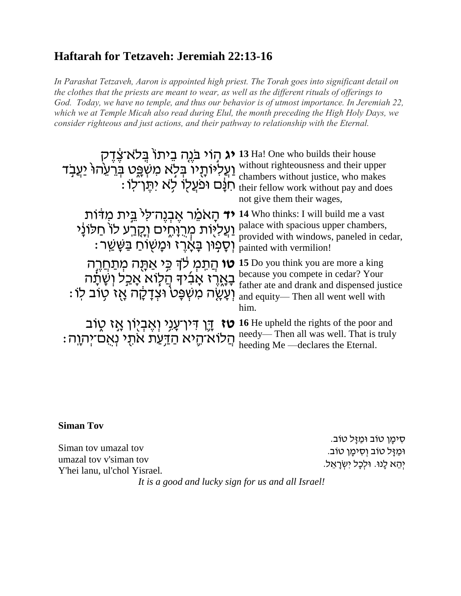## **Haftarah for Tetzaveh: Jeremiah 22:13-16**

In Parashat Tetzaveh, Aaron is appointed high priest. The Torah goes into significant detail on the clothes that the priests are meant to wear, as well as the different rituals of offerings to God. Today, we have no temple, and thus our behavior is of utmost importance. In Jeremiah 22, which we at Temple Micah also read during Elul, the month preceding the High Holy Days, we consider righteous and just actions, and their pathway to relationship with the Eternal.

| <b>יג</b> הָוֹי בֹּנֶה בֵיתוֹ בְּלֹא־צֶדֶק<br>וַעֲלִיּוֹתָיוֹ בְּלָא מִשְׁפֵּט בְּרֵעֵהוּ יַעֲבָד<br>חִנָּם וּפֹעֲלָוֹ לָא יִתֶּוֹ־לִוּ :  | 13 Ha! One who builds their house<br>without righteousness and their upper<br>chambers without justice, who makes<br>their fellow work without pay and does<br>not give them their wages, |
|--------------------------------------------------------------------------------------------------------------------------------------------|-------------------------------------------------------------------------------------------------------------------------------------------------------------------------------------------|
| <b>יד</b> הָאמֵר אֱבְנֶה־לִי בֵּית מִדּוֹת<br>וַעֲליֻוּת מְרִוָּחֶים וְקֶרַע לוֹ חַלוֹנָי<br>וִּסָׁפְוּן בָּאֲרֵז וּמָשְׂוֹחַ בַּשָּׁשַׁר: | 14 Who thinks: I will build me a vast<br>palace with spacious upper chambers,<br>provided with windows, paneled in cedar,<br>painted with vermilion!                                      |
| <b>טו</b> הַתִּמְ לֹךְ כִּי אַתָּה מְתַחֲרֵה<br>בָאֱרֶז אָבִ֫יךָ הַלְוֹא אָבַל וְשָׁיָׂרֶה<br>וְעָשֶׁה מִשְׁפָּט וּצְדָקָה אֶז טְוֹב לוֹ:  | 15 Do you think you are more a king<br>because you compete in cedar? Your<br>father ate and drank and dispensed justice<br>and equity-Then all went well with<br>him.                     |
| <b>ַטז</b> ּ דֶּךְ דִּין־עָנֵי וְאֶבְיָוֹן אֶז טֶוֹב<br>ּהֲלוֹא־הֶיא הַדַּעַת אתָי נְאֻם־יִהְוֶה :                                         | <b>16</b> He upheld the rights of the poor and<br>needy—Then all was well. That is truly<br>heeding Me —declares the Eternal.                                                             |

#### **Siman Tov**

Siman tov umazal tov umazal tov v'siman tov Y'hei lanu, ul'chol Yisrael.

ּסִימַן טוֹב וּמַזַּל טוֹב. וּמַזַּל טוֹב וְסִימַן טוֹב. יְהֵא לָנוּ. וּלְכַל יְשְׂרָאֱל.

It is a good and lucky sign for us and all Israel!